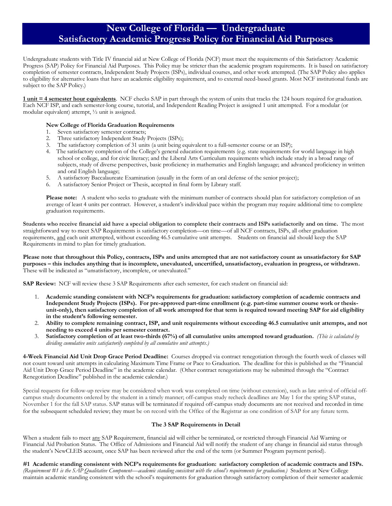# **New College of Florida — Undergraduate Satisfactory Academic Progress Policy for Financial Aid Purposes**

Undergraduate students with Title IV financial aid at New College of Florida (NCF) must meet the requirements of this Satisfactory Academic Progress (SAP) Policy for Financial Aid Purposes. This Policy may be stricter than the academic program requirements. It is based on satisfactory completion of semester contracts, Independent Study Projects (ISPs), individual courses, and other work attempted. (The SAP Policy also applies to eligibility for alternative loans that have an academic eligibility requirement, and to external need-based grants. Most NCF institutional funds are subject to the SAP Policy.)

**1 unit = 4 semester hour equivalents**. NCF checks SAP in part through the system of units that tracks the 124 hours required for graduation. Each NCF ISP, and each semester-long course, tutorial, and Independent Reading Project is assigned 1 unit attempted. For a modular (or modular equivalent) attempt, ½ unit is assigned.

#### **New College of Florida Graduation Requirements**

- 1. Seven satisfactory semester contracts;
- 2. Three satisfactory Independent Study Projects (ISPs);
- 3. The satisfactory completion of 31 units (a unit being equivalent to a full-semester course or an ISP);
- 4. The satisfactory completion of the College's general education requirements (e.g. state requirements for world language in high school or college, and for civic literacy; and the Liberal Arts Curriculum requirements which include study in a broad range of subjects, study of diverse perspectives, basic proficiency in mathematics and English language; and advanced proficiency in written and oral English language;
- 5. A satisfactory Baccalaureate Examination (usually in the form of an oral defense of the senior project);
- 6. A satisfactory Senior Project or Thesis, accepted in final form by Library staff.

**Please note:** A student who seeks to graduate with the minimum number of contracts should plan for satisfactory completion of an average of least 4 units per contract. However, a student's individual pace within the program may require additional time to complete graduation requirements.

**Students who receive financial aid have a special obligation to complete their contracts and ISPs satisfactorily and on time.** The most straightforward way to meet SAP Requirements is satisfactory completion—on time—of all NCF contracts, ISPs, all other graduation requirements, and each unit attempted, without exceeding 46.5 cumulative unit attempts. Students on financial aid should keep the SAP Requirements in mind to plan for timely graduation.

**Please note that throughout this Policy, contracts, ISPs and units attempted that are not satisfactory count as unsatisfactory for SAP purposes – this includes anything that is incomplete, unevaluated, uncertified, unsatisfactory, evaluation in progress, or withdrawn.** These will be indicated as "unsatisfactory, incomplete, or unevaluated."

**SAP Review:** NCF will review these 3 SAP Requirements after each semester, for each student on financial aid:

- 1. **Academic standing consistent with NCF's requirements for graduation: satisfactory completion of academic contracts and Independent Study Projects (ISPs). For pre-approved part-time enrollment (e.g. part-time summer course work or thesisunit-only), then satisfactory completion of all work attempted for that term is required toward meeting SAP for aid eligibility in the student's following semester.**
- 2. **Ability to complete remaining contract, ISP, and unit requirements without exceeding 46.5 cumulative unit attempts, and not needing to exceed 4 units per semester contract.**
- 3. **Satisfactory completion of at least two-thirds (67%) of all cumulative units attempted toward graduation.** *(This is calculated by dividing cumulative units satisfactorily completed by all cumulative unit attempts.)*

**4-Week Financial Aid Unit Drop Grace Period Deadline:** Courses dropped via contract renegotiation through the fourth week of classes will not count toward unit attempts in calculating Maximum Time Frame or Pace to Graduation. The deadline for this is published as the "Financial Aid Unit Drop Grace Period Deadline" in the academic calendar. (Other contract renegotiations may be submitted through the "Contract Renegotiation Deadline" published in the academic calendar.)

Special requests for follow-up review may be considered when work was completed on time (without extension), such as late arrival of official offcampus study documents ordered by the student in a timely manner; off-campus study recheck deadlines are May 1 for the spring SAP status, November 1 for the fall SAP status. SAP status will be terminated if required off-campus study documents are not received and recorded in time for the subsequent scheduled review; they must be on record with the Office of the Registrar as one condition of SAP for any future term.

#### **The 3 SAP Requirements in Detail**

When a student fails to meet any SAP Requirement, financial aid will either be terminated, or restricted through Financial Aid Warning or Financial Aid Probation Status. The Office of Admissions and Financial Aid will notify the student of any change in financial aid status through the student's NewCLEIS account, once SAP has been reviewed after the end of the term (or Summer Program payment period).

**#1 Academic standing consistent with NCF's requirements for graduation: satisfactory completion of academic contracts and ISPs.**  *(Requirement #1 is the SAP Qualitative Component—academic standing consistent with the school's requirements for graduation.)* Students at New College maintain academic standing consistent with the school's requirements for graduation through satisfactory completion of their semester academic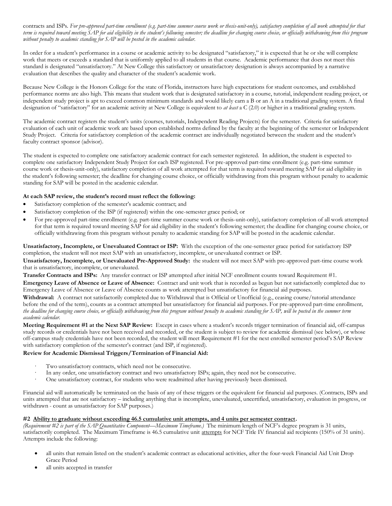contracts and ISPs*. For pre-approved part-time enrollment (e.g. part-time summer course work or thesis-unit-only), satisfactory completion of all work attempted for that term is required toward meeting SAP for aid eligibility in the student's following semester; the deadline for changing course choice, or officially withdrawing from this program without penalty to academic standing for SAP will be posted in the academic calendar.*

In order for a student's performance in a course or academic activity to be designated "satisfactory," it is expected that he or she will complete work that meets or exceeds a standard that is uniformly applied to all students in that course. Academic performance that does not meet this standard is designated "unsatisfactory." At New College this satisfactory or unsatisfactory designation is always accompanied by a narrative evaluation that describes the quality and character of the student's academic work.

Because New College is the Honors College for the state of Florida, instructors have high expectations for student outcomes, and established performance norms are also high. This means that student work that is designated satisfactory in a course, tutorial, independent reading project, or independent study project is apt to exceed common minimum standards and would likely earn a B or an A in a traditional grading system. A final designation of "satisfactory" for an academic activity at New College is equivalent to *at least* a C (2.0) or higher in a traditional grading system.

The academic contract registers the student's units (courses, tutorials, Independent Reading Projects) for the semester. Criteria for satisfactory evaluation of each unit of academic work are based upon established norms defined by the faculty at the beginning of the semester or Independent Study Project. Criteria for satisfactory completion of the academic contract are individually negotiated between the student and the student's faculty contract sponsor (advisor).

The student is expected to complete one satisfactory academic contract for each semester registered. In addition, the student is expected to complete one satisfactory Independent Study Project for each ISP registered. For pre-approved part-time enrollment (e.g. part-time summer course work or thesis-unit-only), satisfactory completion of all work attempted for that term is required toward meeting SAP for aid eligibility in the student's following semester; the deadline for changing course choice, or officially withdrawing from this program without penalty to academic standing for SAP will be posted in the academic calendar.

### **At each SAP review, the student's record must reflect the following:**

- Satisfactory completion of the semester's academic contract; and
- Satisfactory completion of the ISP (if registered) within the one-semester grace period; or
- For pre-approved part-time enrollment (e.g. part-time summer course work or thesis-unit-only), satisfactory completion of all work attempted for that term is required toward meeting SAP for aid eligibility in the student's following semester; the deadline for changing course choice, or officially withdrawing from this program without penalty to academic standing for SAP will be posted in the academic calendar.

**Unsatisfactory, Incomplete, or Unevaluated Contract or ISP:** With the exception of the one-semester grace period for satisfactory ISP completion, the student will not meet SAP with an unsatisfactory, incomplete, or unevaluated contract or ISP.

**Unsatisfactory, Incomplete, or Unevaluated Pre-Approved Study:** the student will not meet SAP with pre-approved part-time course work that is unsatisfactory, incomplete, or unevaluated.

**Transfer Contracts and ISPs:** Any transfer contract or ISP attempted after initial NCF enrollment counts toward Requirement #1.

**Emergency Leave of Absence or Leave of Absence:** Contract and unit work that is recorded as begun but not satisfactorily completed due to Emergency Leave of Absence or Leave of Absence counts as work attempted but unsatisfactory for financial aid purposes.

Withdrawal: A contract not satisfactorily completed due to Withdrawal that is Official or Unofficial (e.g., ceasing course/tutorial attendance before the end of the term), counts as a contract attempted but unsatisfactory for financial aid purposes. For pre-approved part-time enrollment*, the deadline for changing course choice, or officially withdrawing from this program without penalty to academic standing for SAP, will be posted in the summer term academic calendar.*

**Meeting Requirement #1 at the Next SAP Review:** Except in cases where a student's records trigger termination of financial aid, off-campus study records or credentials have not been received and recorded, or the student is subject to review for academic dismissal (see below), or whose off-campus study credentials have not been recorded, the student will meet Requirement #1 for the next enrolled semester period's SAP Review with satisfactory completion of the semester's contract (and ISP, if registered).

#### **Review for Academic Dismissal Triggers/Termination of Financial Aid:**

- Two unsatisfactory contracts, which need not be consecutive.
- In any order, one unsatisfactory contract and two unsatisfactory ISPs; again, they need not be consecutive.
- · One unsatisfactory contract, for students who were readmitted after having previously been dismissed.

Financial aid will automatically be terminated on the basis of any of these triggers or the equivalent for financial aid purposes. (Contracts, ISPs and units attempted that are not satisfactory – including anything that is incomplete, unevaluated, uncertified, unsatisfactory, evaluation in progress, or withdrawn - count as unsatisfactory for SAP purposes.)

## **#2 Ability to graduate without exceeding 46.5 cumulative unit attempts, and 4 units per semester contract.**

*(Requirement #2 is part of the SAP Quantitative Component—Maximum Timeframe.)* The minimum length of NCF's degree program is 31 units, satisfactorily completed. The Maximum Timeframe is 46.5 cumulative unit attempts for NCF Title IV financial aid recipients (150% of 31 units). Attempts include the following:

- all units that remain listed on the student's academic contract as educational activities, after the four-week Financial Aid Unit Drop Grace Period
- all units accepted in transfer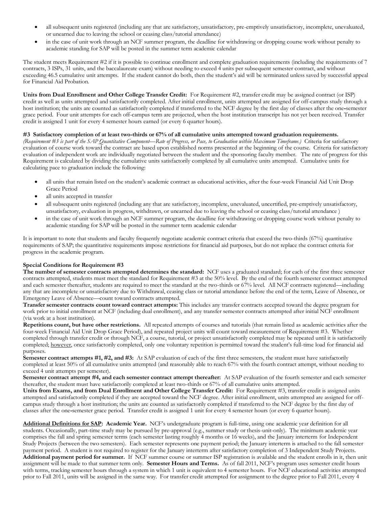- all subsequent units registered (including any that are satisfactory, unsatisfactory, pre-emptively unsatisfactory, incomplete, unevaluated, or unearned due to leaving the school or ceasing class/tutorial attendance)
- in the case of unit work through an NCF summer program, the deadline for withdrawing or dropping course work without penalty to academic standing for SAP will be posted in the summer term academic calendar

The student meets Requirement #2 if it is possible to continue enrollment and complete graduation requirements (including the requirements of 7 contracts, 3 ISPs, 31 units, and the baccalaureate exam) without needing to exceed 4 units per subsequent semester contract, and without exceeding 46.5 cumulative unit attempts. If the student cannot do both, then the student's aid will be terminated unless saved by successful appeal for Financial Aid Probation.

**Units from Dual Enrollment and Other College Transfer Credit:** For Requirement #2, transfer credit may be assigned contract (or ISP) credit as well as units attempted and satisfactorily completed. After initial enrollment, units attempted are assigned for off-campus study through a host institution; the units are counted as satisfactorily completed if transferred to the NCF degree by the first day of classes after the one**-**semester grace period. Four unit attempts for each off-campus term are projected, when the host institution transcript has not yet been received. Transfer credit is assigned 1 unit for every 4 semester hours earned (or every 6 quarter hours).

#### **#3 Satisfactory completion of at least two-thirds or 67% of all cumulative units attempted toward graduation requirements.**

*(Requirement #3 is part of the SAP Quantitative Component—Rate of Progress, or Pace, to Graduation within Maximum Timeframe.)* Criteria for satisfactory evaluation of course work toward the contract are based upon established norms presented at the beginning of the course. Criteria for satisfactory evaluation of independent work are individually negotiated between the student and the sponsoring faculty member. The rate of progress for this Requirement is calculated by dividing the cumulative units satisfactorily completed by all cumulative units attempted. Cumulative units for calculating pace to graduation include the following:

- all units that remain listed on the student's academic contract as educational activities, after the four-week Financial Aid Unit Drop Grace Period
- all units accepted in transfer
- all subsequent units registered (including any that are satisfactory, incomplete, unevaluated, uncertified, pre-emptively unsatisfactory, unsatisfactory, evaluation in progress, withdrawn, or unearned due to leaving the school or ceasing class/tutorial attendance )
- in the case of unit work through an NCF summer program, the deadline for withdrawing or dropping course work without penalty to academic standing for SAP will be posted in the summer term academic calendar

It is important to note that students and faculty frequently negotiate academic contract criteria that exceed the two-thirds (67%) quantitative requirements of SAP; the quantitative requirements impose restrictions for financial aid purposes, but do not replace the contract criteria for progress in the academic program.

# **Special Conditions for Requirement #3**

**The number of semester contracts attempted determines the standard:** NCF uses a graduated standard; for each of the first three semester contracts attempted, students must meet the standard for Requirement #3 at the 50% level. By the end of the fourth semester contract attempted and each semester thereafter, students are required to meet the standard at the two-thirds or 67% level. All NCF contracts registered—including any that are incomplete or unsatisfactory due to Withdrawal, ceasing class or tutorial attendance before the end of the term, Leave of Absence, or Emergency Leave of Absence—count toward contracts attempted.

**Transfer semester contracts count toward contract attempts:** This includes any transfer contracts accepted toward the degree program for work prior to initial enrollment at NCF (including dual enrollment), and any transfer semester contracts attempted after initial NCF enrollment (via work at a host institution).

**Repetitions count, but have other restrictions.** All repeated attempts of courses and tutorials (that remain listed as academic activities after the four-week Financial Aid Unit Drop Grace Period), and repeated project units will count toward measurement of Requirement #3. Whether completed through transfer credit or through NCF, a course, tutorial, or project unsatisfactorily completed may be repeated until it is satisfactorily completed; however, once satisfactorily completed, only one voluntary repetition is permitted toward the student's full-time load for financial aid purposes.

**Semester contract attempts #1, #2, and #3:** At SAP evaluation of each of the first three semesters, the student must have satisfactorily completed at least 50% of all cumulative units attempted (and reasonably able to reach 67% with the fourth contract attempt, without needing to exceed 4 unit attempts per semester).

**Semester contract attempt #4, and each semester contract attempt thereafter:** At SAP evaluation of the fourth semester and each semester thereafter, the student must have satisfactorily completed at least two-thirds or 67% of all cumulative units attempted.

**Units from Exams, and from Dual Enrollment and Other College Transfer Credit:** For Requirement #3, transfer credit is assigned units attempted and satisfactorily completed if they are accepted toward the NCF degree. After initial enrollment, units attempted are assigned for offcampus study through a host institution; the units are counted as satisfactorily completed if transferred to the NCF degree by the first day of classes after the one**-**semester grace period. Transfer credit is assigned 1 unit for every 4 semester hours (or every 6 quarter hours).

**Additional Definitions for SAP: Academic Year.** NCF's undergraduate program is full-time, using one academic year definition for all students. Occasionally, part-time study may be pursued by pre-approval (e.g., summer study or thesis-unit-only). The minimum academic year comprises the fall and spring semester terms (each semester lasting roughly 4 months or 16 weeks), and the January interterm for Independent Study Projects (between the two semesters). Each semester represents one payment period; the January interterm is attached to the fall semester payment period. A student is not required to register for the January interterm after satisfactory completion of 3 Independent Study Projects. **Additional payment period for summer.** If NCF summer course or summer ISP registration is available and the student enrolls in it, then unit assignment will be made to that summer term only. **Semester Hours and Terms.** As of fall 2011, NCF's program uses semester credit hours with terms, tracking semester hours through a system in which 1 unit is equivalent to 4 semester hours. For NCF educational activities attempted prior to Fall 2011, units will be assigned in the same way. For transfer credit attempted for assignment to the degree prior to Fall 2011, every 4